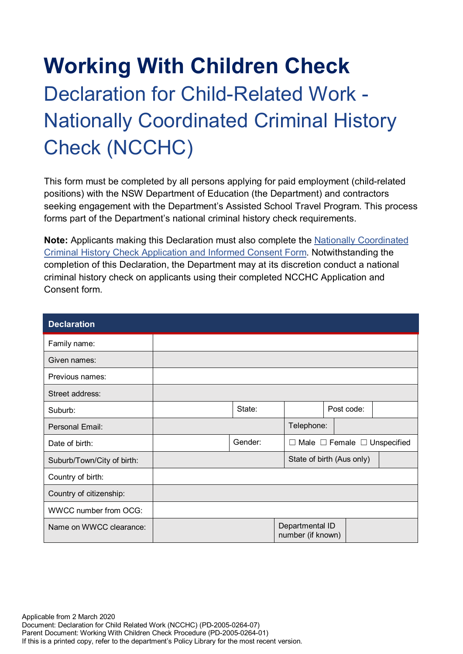# **Working With Children Check** Declaration for Child-Related Work - Nationally Coordinated Criminal History Check (NCCHC)

This form must be completed by all persons applying for paid employment (child-related positions) with the NSW Department of Education (the Department) and contractors seeking engagement with the Department's Assisted School Travel Program. This process forms part of the Department's national criminal history check requirements.

**Note:** Applicants making this Declaration must also complete the [Nationally Coordinated](https://policies.education.nsw.gov.au/policy-library/associated-documents/Working-with-Children-Check-Appendix-8-CRIMTRAC-Form.pdf)  [Criminal History Check Application and Informed Consent Form.](https://policies.education.nsw.gov.au/policy-library/associated-documents/Working-with-Children-Check-Appendix-8-CRIMTRAC-Form.pdf) Notwithstanding the completion of this Declaration, the Department may at its discretion conduct a national criminal history check on applicants using their completed NCCHC Application and Consent form.

| <b>Declaration</b>           |  |         |                                      |                                              |            |  |  |
|------------------------------|--|---------|--------------------------------------|----------------------------------------------|------------|--|--|
| Family name:                 |  |         |                                      |                                              |            |  |  |
| Given names:                 |  |         |                                      |                                              |            |  |  |
| Previous names:              |  |         |                                      |                                              |            |  |  |
| Street address:              |  |         |                                      |                                              |            |  |  |
| Suburb:                      |  | State:  |                                      |                                              | Post code: |  |  |
| Personal Email:              |  |         | Telephone:                           |                                              |            |  |  |
| Date of birth:               |  | Gender: |                                      | $\Box$ Male $\Box$ Female $\Box$ Unspecified |            |  |  |
| Suburb/Town/City of birth:   |  |         |                                      | State of birth (Aus only)                    |            |  |  |
| Country of birth:            |  |         |                                      |                                              |            |  |  |
| Country of citizenship:      |  |         |                                      |                                              |            |  |  |
| <b>WWCC number from OCG:</b> |  |         |                                      |                                              |            |  |  |
| Name on WWCC clearance:      |  |         | Departmental ID<br>number (if known) |                                              |            |  |  |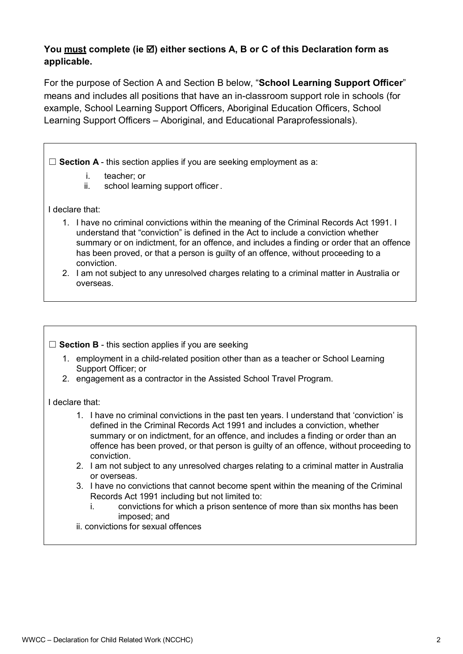# **You must complete (ie ) either sections A, B or C of this Declaration form as applicable.**

For the purpose of Section A and Section B below, "**School Learning Support Officer**" means and includes all positions that have an in-classroom support role in schools (for example, School Learning Support Officers, Aboriginal Education Officers, School Learning Support Officers – Aboriginal, and Educational Paraprofessionals).

□ **Section A** - this section applies if you are seeking employment as a:

- i. teacher; or
- ii. school learning support officer .

#### I declare that:

- 1. I have no criminal convictions within the meaning of the Criminal Records Act 1991. I understand that "conviction" is defined in the Act to include a conviction whether summary or on indictment, for an offence, and includes a finding or order that an offence has been proved, or that a person is guilty of an offence, without proceeding to a conviction.
- 2. I am not subject to any unresolved charges relating to a criminal matter in Australia or overseas.

## □ **Section B** - this section applies if you are seeking

- 1. employment in a child-related position other than as a teacher or School Learning Support Officer; or
- 2. engagement as a contractor in the Assisted School Travel Program.

#### I declare that:

- 1. I have no criminal convictions in the past ten years. I understand that 'conviction' is defined in the Criminal Records Act 1991 and includes a conviction, whether summary or on indictment, for an offence, and includes a finding or order than an offence has been proved, or that person is guilty of an offence, without proceeding to conviction.
- 2. I am not subject to any unresolved charges relating to a criminal matter in Australia or overseas.
- 3. I have no convictions that cannot become spent within the meaning of the Criminal Records Act 1991 including but not limited to:
	- i. convictions for which a prison sentence of more than six months has been imposed; and
- ii. convictions for sexual offences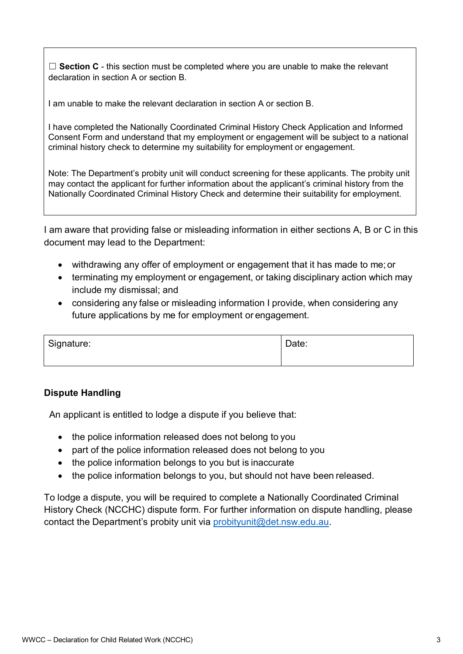□ **Section C** - this section must be completed where you are unable to make the relevant declaration in section A or section B.

I am unable to make the relevant declaration in section A or section B.

I have completed the Nationally Coordinated Criminal History Check Application and Informed Consent Form and understand that my employment or engagement will be subject to a national criminal history check to determine my suitability for employment or engagement.

Note: The Department's probity unit will conduct screening for these applicants. The probity unit may contact the applicant for further information about the applicant's criminal history from the Nationally Coordinated Criminal History Check and determine their suitability for employment.

I am aware that providing false or misleading information in either sections A, B or C in this document may lead to the Department:

- withdrawing any offer of employment or engagement that it has made to me; or
- terminating my employment or engagement, or taking disciplinary action which may include my dismissal; and
- considering any false or misleading information I provide, when considering any future applications by me for employment or engagement.

| Signature: | Date: |
|------------|-------|
|            |       |

## **Dispute Handling**

An applicant is entitled to lodge a dispute if you believe that:

- the police information released does not belong to you
- part of the police information released does not belong to you
- the police information belongs to you but is inaccurate
- the police information belongs to you, but should not have been released.

To lodge a dispute, you will be required to complete a Nationally Coordinated Criminal History Check (NCCHC) dispute form. For further information on dispute handling, please contact the Department's probity unit via [probityunit@det.nsw.edu.au.](mailto:probityunit@det.nsw.edu.au)